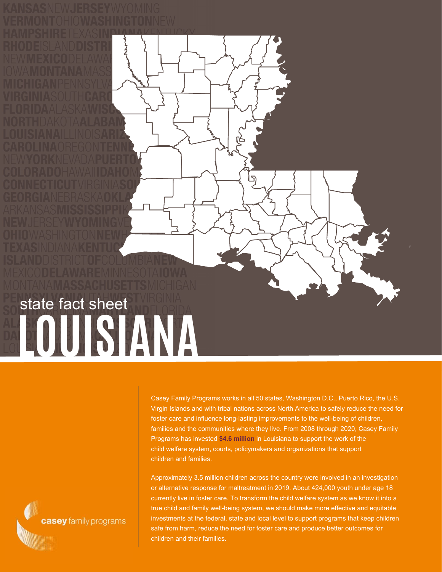## **LOUISIANA** state fact sheet

Casey Family Programs works in all 50 states, Washington D.C., Puerto Rico, the U.S. Virgin Islands and with tribal nations across North America to safely reduce the need for foster care and influence long-lasting improvements to the well-being of children, families and the communities where they live. From 2008 through 2020, Casey Family Programs has invested **\$4.6 million** in Louisiana to support the work of the child welfare system, courts, policymakers and organizations that support children and families.

Approximately 3.5 million children across the country were involved in an investigation or alternative response for maltreatment in 2019. About 424,000 youth under age 18 currently live in foster care. To transform the child welfare system as we know it into a true child and family well-being system, we should make more effective and equitable investments at the federal, state and local level to support programs that keep children safe from harm, reduce the need for foster care and produce better outcomes for children and their families.

casey family programs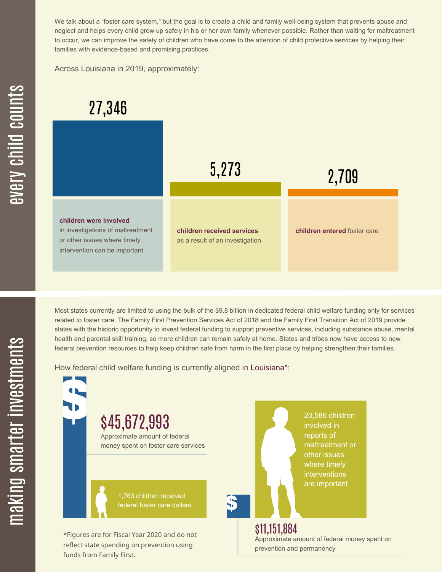We talk about a "foster care system," but the goal is to create a child and family well-being system that prevents abuse and neglect and helps every child grow up safely in his or her own family whenever possible. Rather than waiting for maltreatment to occur, we can improve the safety of children who have come to the attention of child protective services by helping their families with evidence-based and promising practices.

Across Louisiana in 2019, approximately:

## 27,346



Most states currently are limited to using the bulk of the \$9.8 billion in dedicated federal child welfare funding only for services related to foster care. The Family First Prevention Services Act of 2018 and the Family First Transition Act of 2019 provide states with the historic opportunity to invest federal funding to support preventive services, including substance abuse, mental health and parental skill training, so more children can remain safely at home. States and tribes now have access to new federal prevention resources to help keep children safe from harm in the first place by helping strengthen their families.

How federal child welfare funding is currently aligned in Louisiana\*:



 $\mathbf \Xi$ **CO** kin gs $\mathbf \Xi$ **CO** rtæ

r in

 $\, >$ c جا

c

hild

c $\bigcirc$ <u>u</u>  $\blacksquare$  $\mathbf{S}$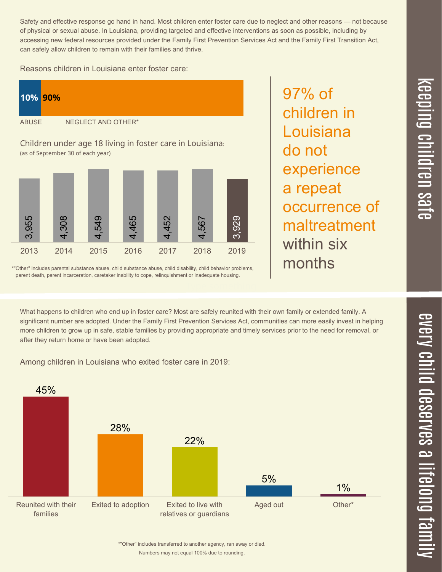Safety and effective response go hand in hand. Most children enter foster care due to neglect and other reasons — not because of physical or sexual abuse. In Louisiana, providing targeted and effective interventions as soon as possible, including by accessing new federal resources provided under the Family First Prevention Services Act and the Family First Transition Act, can safely allow children to remain with their families and thrive.

Reasons children in Louisiana enter foster care:



\*"Other" includes parental substance abuse, child substance abuse, child disability, child behavior problems, parent death, parent incarceration, caretaker inability to cope, relinquishment or inadequate housing.

97% of children in Louisiana do not experience a repeat occurrence of maltreatment within six months

What happens to children who end up in foster care? Most are safely reunited with their own family or extended family. A significant number are adopted. Under the Family First Prevention Services Act, communities can more easily invest in helping more children to grow up in safe, stable families by providing appropriate and timely services prior to the need for removal, or after they return home or have been adopted.

Among children in Louisiana who exited foster care in 2019:



 $\overline{\mathbf{C}}$  $\overline{\mathsf{Z}}$  $\overline{\mathbf{C}}$  $\equiv$  $\blacksquare$ e  $\boldsymbol{\mathcal{C}}$  $\overline{\mathbf{C}}$  $\overline{\phantom{a}}$  $\overline{\mathbf{C}}$  $\mathcal{C}$ <u>م</u>  $\equiv$ el<br>O  $\overline{\phantom{0}}$  $\blacksquare$ t<br>B mily

 $\overline{\mathbf{C}}$  $\leq$